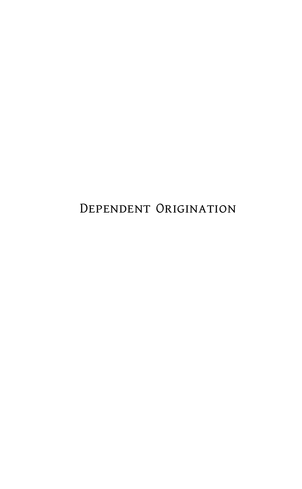Dependent Origination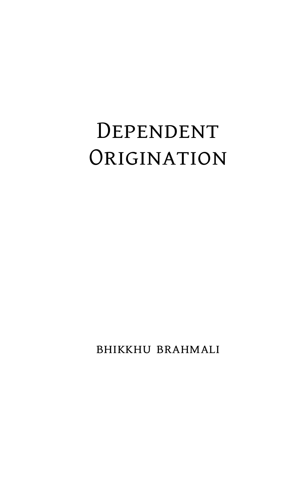## Dependent **ORIGINATION**

bhikkhu brahmali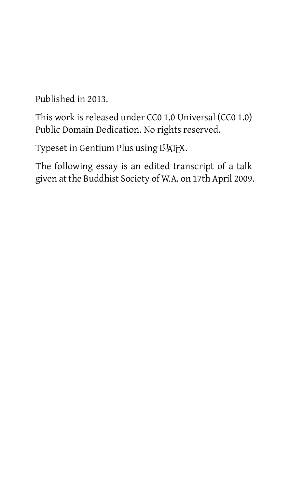Published in 2013.

This work is released under CC0 1.0 Universal (CC0 1.0) Public Domain Dedication. No rights reserved.

Typeset in Gentium Plus using LUATFX.

The following essay is an edited transcript of a talk given at the Buddhist Society of W.A. on 17th April 2009.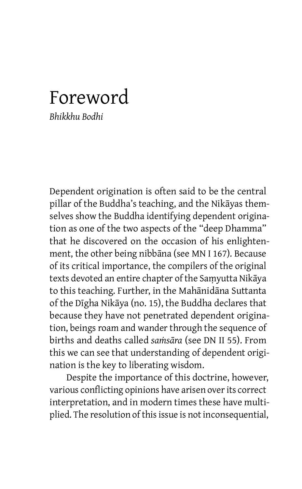## Foreword

*Bhikkhu Bodhi*

Dependent origination is often said to be the central pillar of the Buddha's teaching, and the Nikāyas themselves show the Buddha identifying dependent origination as one of the two aspects of the "deep Dhamma" that he discovered on the occasion of his enlightenment, the other being nibbāna (see MN I 167). Because of its critical importance, the compilers of the original texts devoted an entire chapter of the Saṃyutta Nikāya to this teaching. Further, in the Mahānidāna Suttanta of the Dīgha Nikāya (no. 15), the Buddha declares that because they have not penetrated dependent origination, beings roam and wander through the sequence of births and deaths called *saṁsāra* (see DN II 55). From this we can see that understanding of dependent origination is the key to liberating wisdom.

Despite the importance of this doctrine, however, various conflicting opinions have arisen over its correct interpretation, and in modern times these have multiplied. The resolution of this issue is not inconsequential,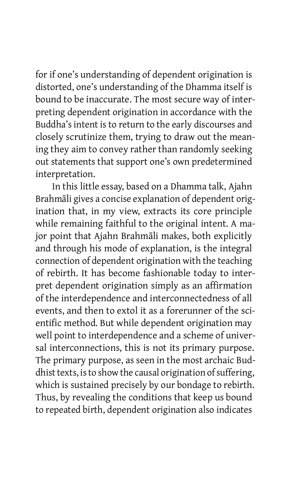for if one's understanding of dependent origination is distorted, one's understanding of the Dhamma itself is bound to be inaccurate. The most secure way of interpreting dependent origination in accordance with the Buddha's intent is to return to the early discourses and closely scrutinize them, trying to draw out the meaning they aim to convey rather than randomly seeking out statements that support one's own predetermined interpretation.

In this little essay, based on a Dhamma talk, Ajahn Brahmāli gives a concise explanation of dependent origination that, in my view, extracts its core principle while remaining faithful to the original intent. A major point that Ajahn Brahmāli makes, both explicitly and through his mode of explanation, is the integral connection of dependent origination with the teaching of rebirth. It has become fashionable today to interpret dependent origination simply as an affirmation of the interdependence and interconnectedness of all events, and then to extol it as a forerunner of the scientific method. But while dependent origination may well point to interdependence and a scheme of universal interconnections, this is not its primary purpose. The primary purpose, as seen in the most archaic Buddhist texts, is to show the causal origination of suffering, which is sustained precisely by our bondage to rebirth. Thus, by revealing the conditions that keep us bound to repeated birth, dependent origination also indicates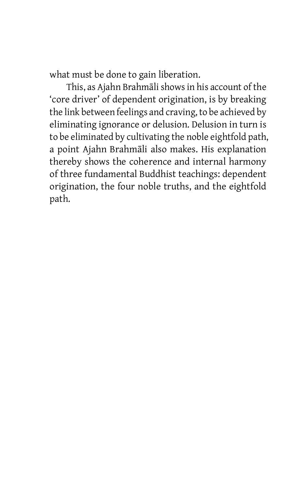what must be done to gain liberation.

This, as Ajahn Brahmāli shows in his account of the 'core driver' of dependent origination, is by breaking the link between feelings and craving, to be achieved by eliminating ignorance or delusion. Delusion in turn is to be eliminated by cultivating the noble eightfold path, a point Ajahn Brahmāli also makes. His explanation thereby shows the coherence and internal harmony of three fundamental Buddhist teachings: dependent origination, the four noble truths, and the eightfold path.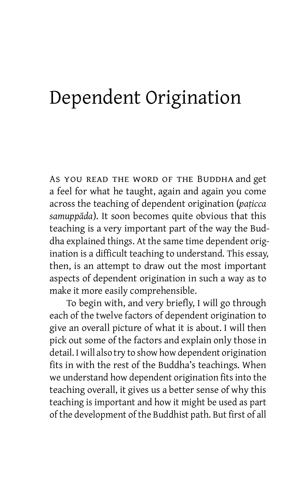## Dependent Origination

As you read the word of the Buddha and get a feel for what he taught, again and again you come across the teaching of dependent origination (*paṭicca samuppāda*). It soon becomes quite obvious that this teaching is a very important part of the way the Buddha explained things. At the same time dependent origination is a difficult teaching to understand. This essay, then, is an attempt to draw out the most important aspects of dependent origination in such a way as to make it more easily comprehensible.

To begin with, and very briefly, I will go through each of the twelve factors of dependent origination to give an overall picture of what it is about. I will then pick out some of the factors and explain only those in detail. I will also try to show how dependent origination fits in with the rest of the Buddha's teachings. When we understand how dependent origination fits into the teaching overall, it gives us a better sense of why this teaching is important and how it might be used as part of the development of the Buddhist path. But first of all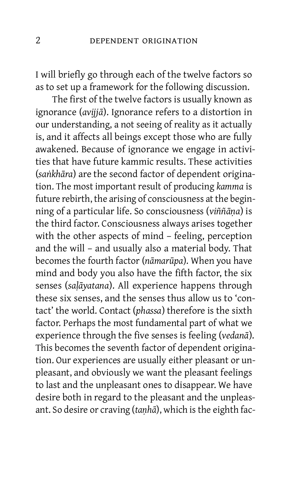I will briefly go through each of the twelve factors so as to set up a framework for the following discussion.

The first of the twelve factors is usually known as ignorance (*avijjā*). Ignorance refers to a distortion in our understanding, a not seeing of reality as it actually is, and it affects all beings except those who are fully awakened. Because of ignorance we engage in activities that have future kammic results. These activities (*saṅkhāra*) are the second factor of dependent origination. The most important result of producing *kamma* is future rebirth, the arising of consciousness at the beginning of a particular life. So consciousness (*viññāṇa*) is the third factor. Consciousness always arises together with the other aspects of mind – feeling, perception and the will – and usually also a material body. That becomes the fourth factor (*nāmarūpa*). When you have mind and body you also have the fifth factor, the six senses (*saḷāyatana*). All experience happens through these six senses, and the senses thus allow us to 'contact' the world. Contact (*phassa*) therefore is the sixth factor. Perhaps the most fundamental part of what we experience through the five senses is feeling (*vedanā*). This becomes the seventh factor of dependent origination. Our experiences are usually either pleasant or unpleasant, and obviously we want the pleasant feelings to last and the unpleasant ones to disappear. We have desire both in regard to the pleasant and the unpleasant. So desire or craving (*taṇhā*), which is the eighth fac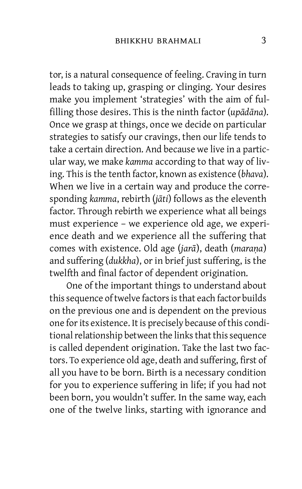tor, is a natural consequence of feeling. Craving in turn leads to taking up, grasping or clinging. Your desires make you implement 'strategies' with the aim of fulfilling those desires. This is the ninth factor (*upādāna*). Once we grasp at things, once we decide on particular strategies to satisfy our cravings, then our life tends to take a certain direction. And because we live in a particular way, we make *kamma* according to that way of living. This is the tenth factor, known as existence (*bhava*). When we live in a certain way and produce the corresponding *kamma*, rebirth (*jāti*) follows as the eleventh factor. Through rebirth we experience what all beings must experience – we experience old age, we experience death and we experience all the suffering that comes with existence. Old age (*jarā*), death (*maraṇa*) and suffering (*dukkha*), or in brief just suffering, is the twelfth and final factor of dependent origination.

One of the important things to understand about this sequence of twelve factors is that each factor builds on the previous one and is dependent on the previous one for its existence. It is precisely because of this conditional relationship between the links that this sequence is called dependent origination. Take the last two factors. To experience old age, death and suffering, first of all you have to be born. Birth is a necessary condition for you to experience suffering in life; if you had not been born, you wouldn't suffer. In the same way, each one of the twelve links, starting with ignorance and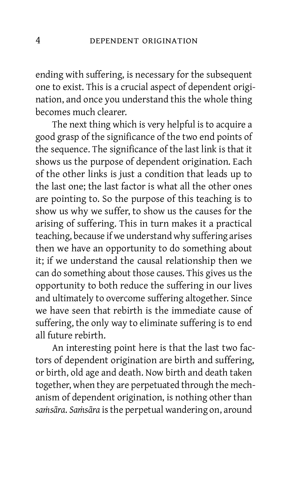ending with suffering, is necessary for the subsequent one to exist. This is a crucial aspect of dependent origination, and once you understand this the whole thing becomes much clearer.

The next thing which is very helpful is to acquire a good grasp of the significance of the two end points of the sequence. The significance of the last link is that it shows us the purpose of dependent origination. Each of the other links is just a condition that leads up to the last one; the last factor is what all the other ones are pointing to. So the purpose of this teaching is to show us why we suffer, to show us the causes for the arising of suffering. This in turn makes it a practical teaching, because if we understand why suffering arises then we have an opportunity to do something about it; if we understand the causal relationship then we can do something about those causes. This gives us the opportunity to both reduce the suffering in our lives and ultimately to overcome suffering altogether. Since we have seen that rebirth is the immediate cause of suffering, the only way to eliminate suffering is to end all future rebirth.

An interesting point here is that the last two factors of dependent origination are birth and suffering, or birth, old age and death. Now birth and death taken together, when they are perpetuated through the mechanism of dependent origination, is nothing other than *saṁsāra*. *Saṁsāra* isthe perpetual wandering on, around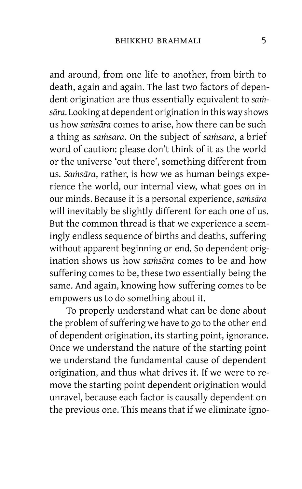and around, from one life to another, from birth to death, again and again. The last two factors of dependent origination are thus essentially equivalent to *saṁsāra*. Looking at dependent origination in this way shows us how *saṁsāra* comes to arise, how there can be such a thing as *saṁsāra*. On the subject of *saṁsāra*, a brief word of caution: please don't think of it as the world or the universe 'out there', something different from us. *Saṁsāra*, rather, is how we as human beings experience the world, our internal view, what goes on in our minds. Because it is a personal experience, *saṁsāra* will inevitably be slightly different for each one of us. But the common thread is that we experience a seemingly endless sequence of births and deaths, suffering without apparent beginning or end. So dependent origination shows us how *saṁsāra* comes to be and how suffering comes to be, these two essentially being the same. And again, knowing how suffering comes to be empowers us to do something about it.

To properly understand what can be done about the problem of suffering we have to go to the other end of dependent origination, its starting point, ignorance. Once we understand the nature of the starting point we understand the fundamental cause of dependent origination, and thus what drives it. If we were to remove the starting point dependent origination would unravel, because each factor is causally dependent on the previous one. This means that if we eliminate igno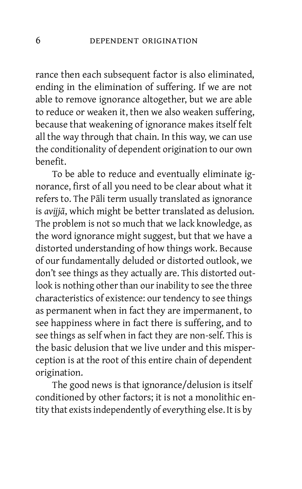rance then each subsequent factor is also eliminated, ending in the elimination of suffering. If we are not able to remove ignorance altogether, but we are able to reduce or weaken it, then we also weaken suffering, because that weakening of ignorance makes itself felt all the way through that chain. In this way, we can use the conditionality of dependent origination to our own benefit.

To be able to reduce and eventually eliminate ignorance, first of all you need to be clear about what it refers to. The Pāli term usually translated as ignorance is *avijjā*, which might be better translated as delusion. The problem is not so much that we lack knowledge, as the word ignorance might suggest, but that we have a distorted understanding of how things work. Because of our fundamentally deluded or distorted outlook, we don't see things as they actually are. This distorted outlook is nothing other than our inability to see the three characteristics of existence: our tendency to see things as permanent when in fact they are impermanent, to see happiness where in fact there is suffering, and to see things as self when in fact they are non-self. This is the basic delusion that we live under and this misperception is at the root of this entire chain of dependent origination.

The good news is that ignorance/delusion is itself conditioned by other factors; it is not a monolithic entity that existsindependently of everything else. It is by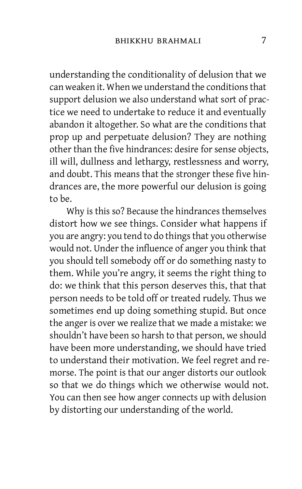understanding the conditionality of delusion that we can weaken it. When we understand the conditionsthat support delusion we also understand what sort of practice we need to undertake to reduce it and eventually abandon it altogether. So what are the conditions that prop up and perpetuate delusion? They are nothing other than the five hindrances: desire for sense objects, ill will, dullness and lethargy, restlessness and worry, and doubt. This means that the stronger these five hindrances are, the more powerful our delusion is going to be.

Why is this so? Because the hindrances themselves distort how we see things. Consider what happens if you are angry: you tend to do things that you otherwise would not. Under the influence of anger you think that you should tell somebody off or do something nasty to them. While you're angry, it seems the right thing to do: we think that this person deserves this, that that person needs to be told off or treated rudely. Thus we sometimes end up doing something stupid. But once the anger is over we realize that we made a mistake: we shouldn't have been so harsh to that person, we should have been more understanding, we should have tried to understand their motivation. We feel regret and remorse. The point is that our anger distorts our outlook so that we do things which we otherwise would not. You can then see how anger connects up with delusion by distorting our understanding of the world.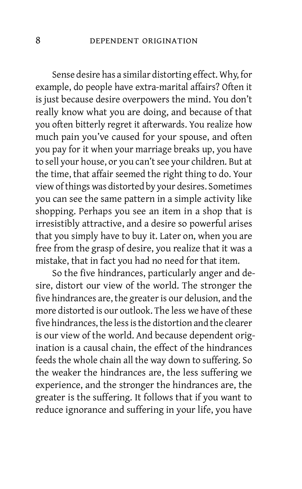Sense desire has a similar distorting effect. Why, for example, do people have extra-marital affairs? Often it is just because desire overpowers the mind. You don't really know what you are doing, and because of that you often bitterly regret it afterwards. You realize how much pain you've caused for your spouse, and often you pay for it when your marriage breaks up, you have to sell your house, or you can't see your children. But at the time, that affair seemed the right thing to do. Your view of things was distorted by your desires. Sometimes you can see the same pattern in a simple activity like shopping. Perhaps you see an item in a shop that is irresistibly attractive, and a desire so powerful arises that you simply have to buy it. Later on, when you are free from the grasp of desire, you realize that it was a mistake, that in fact you had no need for that item.

So the five hindrances, particularly anger and desire, distort our view of the world. The stronger the five hindrances are, the greater is our delusion, and the more distorted is our outlook. The less we have of these five hindrances, the less is the distortion and the clearer is our view of the world. And because dependent origination is a causal chain, the effect of the hindrances feeds the whole chain all the way down to suffering. So the weaker the hindrances are, the less suffering we experience, and the stronger the hindrances are, the greater is the suffering. It follows that if you want to reduce ignorance and suffering in your life, you have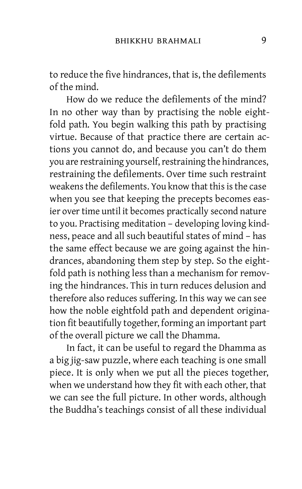to reduce the five hindrances, that is, the defilements of the mind.

How do we reduce the defilements of the mind? In no other way than by practising the noble eightfold path. You begin walking this path by practising virtue. Because of that practice there are certain actions you cannot do, and because you can't do them you are restraining yourself, restraining the hindrances, restraining the defilements. Over time such restraint weakens the defilements. You know that this is the case when you see that keeping the precepts becomes easier over time until it becomes practically second nature to you. Practising meditation – developing loving kindness, peace and all such beautiful states of mind – has the same effect because we are going against the hindrances, abandoning them step by step. So the eightfold path is nothing less than a mechanism for removing the hindrances. This in turn reduces delusion and therefore also reduces suffering. In this way we can see how the noble eightfold path and dependent origination fit beautifully together, forming an important part of the overall picture we call the Dhamma.

In fact, it can be useful to regard the Dhamma as a big jig-saw puzzle, where each teaching is one small piece. It is only when we put all the pieces together, when we understand how they fit with each other, that we can see the full picture. In other words, although the Buddha's teachings consist of all these individual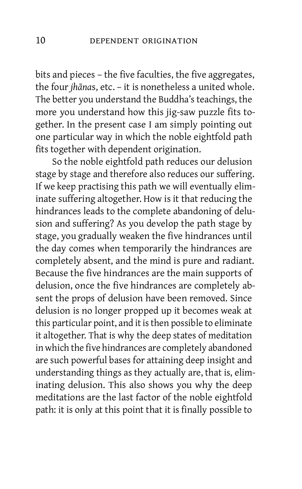bits and pieces – the five faculties, the five aggregates, the four *jhāna*s, etc. – it is nonetheless a united whole. The better you understand the Buddha's teachings, the more you understand how this jig-saw puzzle fits together. In the present case I am simply pointing out one particular way in which the noble eightfold path fits together with dependent origination.

So the noble eightfold path reduces our delusion stage by stage and therefore also reduces our suffering. If we keep practising this path we will eventually eliminate suffering altogether. How is it that reducing the hindrances leads to the complete abandoning of delusion and suffering? As you develop the path stage by stage, you gradually weaken the five hindrances until the day comes when temporarily the hindrances are completely absent, and the mind is pure and radiant. Because the five hindrances are the main supports of delusion, once the five hindrances are completely absent the props of delusion have been removed. Since delusion is no longer propped up it becomes weak at this particular point, and it is then possible to eliminate it altogether. That is why the deep states of meditation in which the five hindrances are completely abandoned are such powerful bases for attaining deep insight and understanding things as they actually are, that is, eliminating delusion. This also shows you why the deep meditations are the last factor of the noble eightfold path: it is only at this point that it is finally possible to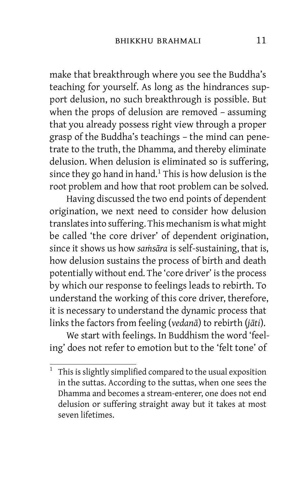make that breakthrough where you see the Buddha's teaching for yourself. As long as the hindrances support delusion, no such breakthrough is possible. But when the props of delusion are removed – assuming that you already possess right view through a proper grasp of the Buddha's teachings – the mind can penetrate to the truth, the Dhamma, and thereby eliminate delusion. When delusion is eliminated so is suffering, since they go hand in hand. [1](#page-26-0) This is how delusion is the root problem and how that root problem can be solved.

Having discussed the two end points of dependent origination, we next need to consider how delusion translatesinto suffering. This mechanism is what might be called 'the core driver' of dependent origination, since it shows us how *saṁsāra* is self-sustaining, that is, how delusion sustains the process of birth and death potentially without end. The 'core driver' is the process by which our response to feelings leads to rebirth. To understand the working of this core driver, therefore, it is necessary to understand the dynamic process that links the factors from feeling (*vedanā*) to rebirth (*jāti*).

We start with feelings. In Buddhism the word 'feeling' does not refer to emotion but to the 'felt tone' of

<sup>&</sup>lt;sup>1</sup> This is slightly simplified compared to the usual exposition in the suttas. According to the suttas, when one sees the Dhamma and becomes a stream-enterer, one does not end delusion or suffering straight away but it takes at most seven lifetimes.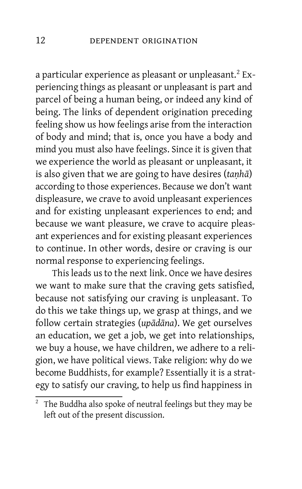a particular experience as pleasant or unpleasant.<sup>[2](#page-26-0)</sup> Experiencing things as pleasant or unpleasant is part and parcel of being a human being, or indeed any kind of being. The links of dependent origination preceding feeling show us how feelings arise from the interaction of body and mind; that is, once you have a body and mind you must also have feelings. Since it is given that we experience the world as pleasant or unpleasant, it is also given that we are going to have desires (*taṇhā*) according to those experiences. Because we don't want displeasure, we crave to avoid unpleasant experiences and for existing unpleasant experiences to end; and because we want pleasure, we crave to acquire pleasant experiences and for existing pleasant experiences to continue. In other words, desire or craving is our normal response to experiencing feelings.

This leads us to the next link. Once we have desires we want to make sure that the craving gets satisfied, because not satisfying our craving is unpleasant. To do this we take things up, we grasp at things, and we follow certain strategies (*upādāna*). We get ourselves an education, we get a job, we get into relationships, we buy a house, we have children, we adhere to a religion, we have political views. Take religion: why do we become Buddhists, for example? Essentially it is a strategy to satisfy our craving, to help us find happiness in

 $2$  The Buddha also spoke of neutral feelings but they may be left out of the present discussion.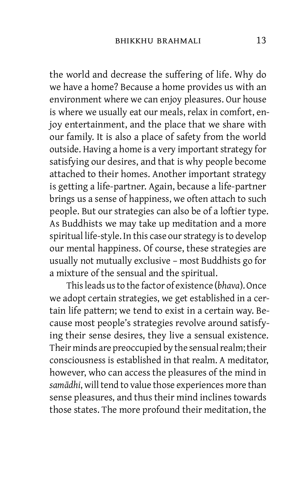the world and decrease the suffering of life. Why do we have a home? Because a home provides us with an environment where we can enjoy pleasures. Our house is where we usually eat our meals, relax in comfort, enjoy entertainment, and the place that we share with our family. It is also a place of safety from the world outside. Having a home is a very important strategy for satisfying our desires, and that is why people become attached to their homes. Another important strategy is getting a life-partner. Again, because a life-partner brings us a sense of happiness, we often attach to such people. But our strategies can also be of a loftier type. As Buddhists we may take up meditation and a more spiritual life-style. In this case our strategy is to develop our mental happiness. Of course, these strategies are usually not mutually exclusive – most Buddhists go for a mixture of the sensual and the spiritual.

Thisleads usto the factor of existence (*bhava*). Once we adopt certain strategies, we get established in a certain life pattern; we tend to exist in a certain way. Because most people's strategies revolve around satisfying their sense desires, they live a sensual existence. Their minds are preoccupied by the sensual realm; their consciousness is established in that realm. A meditator, however, who can access the pleasures of the mind in *samādhi*, will tend to value those experiences more than sense pleasures, and thus their mind inclines towards those states. The more profound their meditation, the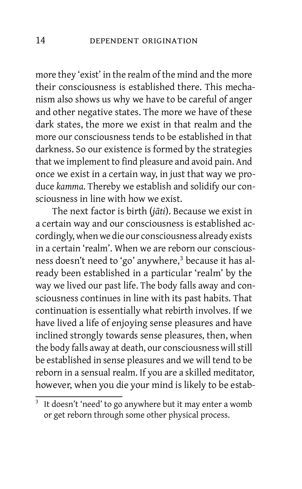more they 'exist' in the realm of the mind and the more their consciousness is established there. This mechanism also shows us why we have to be careful of anger and other negative states. The more we have of these dark states, the more we exist in that realm and the more our consciousness tends to be established in that darkness. So our existence is formed by the strategies that we implement to find pleasure and avoid pain. And once we exist in a certain way, in just that way we produce *kamma*. Thereby we establish and solidify our consciousness in line with how we exist.

The next factor is birth (*jāti*). Because we exist in a certain way and our consciousness is established accordingly, when we die our consciousness already exists in a certain 'realm'. When we are reborn our consciousness doesn't need to 'go' anywhere, [3](#page-26-0) because it has already been established in a particular 'realm' by the way we lived our past life. The body falls away and consciousness continues in line with its past habits. That continuation is essentially what rebirth involves. If we have lived a life of enjoying sense pleasures and have inclined strongly towards sense pleasures, then, when the body falls away at death, our consciousness will still be established in sense pleasures and we will tend to be reborn in a sensual realm. If you are a skilled meditator, however, when you die your mind is likely to be estab-

<sup>3</sup> It doesn't 'need' to go anywhere but it may enter a womb or get reborn through some other physical process.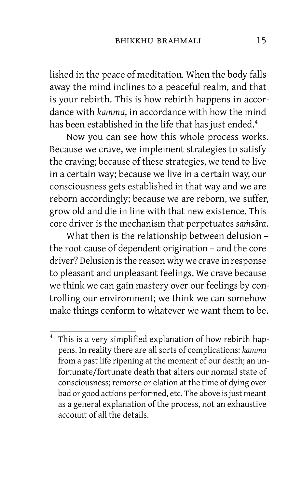lished in the peace of meditation. When the body falls away the mind inclines to a peaceful realm, and that is your rebirth. This is how rebirth happens in accordance with *kamma*, in accordance with how the mind has been established in the life that has just ended.<sup>[4](#page-26-0)</sup>

Now you can see how this whole process works. Because we crave, we implement strategies to satisfy the craving; because of these strategies, we tend to live in a certain way; because we live in a certain way, our consciousness gets established in that way and we are reborn accordingly; because we are reborn, we suffer, grow old and die in line with that new existence. This core driver is the mechanism that perpetuates *saṁsāra*.

What then is the relationship between delusion – the root cause of dependent origination – and the core driver? Delusion isthe reason why we crave in response to pleasant and unpleasant feelings. We crave because we think we can gain mastery over our feelings by controlling our environment; we think we can somehow make things conform to whatever we want them to be.

<sup>&</sup>lt;sup>4</sup> This is a very simplified explanation of how rebirth happens. In reality there are all sorts of complications: *kamma* from a past life ripening at the moment of our death; an unfortunate/fortunate death that alters our normal state of consciousness; remorse or elation at the time of dying over bad or good actions performed, etc. The above is just meant as a general explanation of the process, not an exhaustive account of all the details.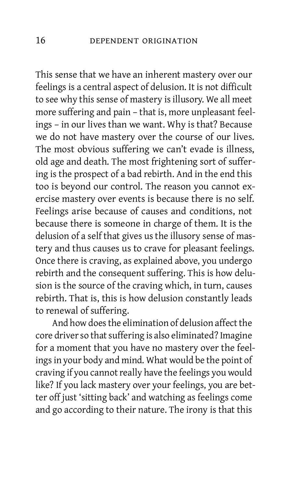This sense that we have an inherent mastery over our feelings is a central aspect of delusion. It is not difficult to see why this sense of mastery is illusory. We all meet more suffering and pain – that is, more unpleasant feelings – in our lives than we want. Why is that? Because we do not have mastery over the course of our lives. The most obvious suffering we can't evade is illness, old age and death. The most frightening sort of suffering is the prospect of a bad rebirth. And in the end this too is beyond our control. The reason you cannot exercise mastery over events is because there is no self. Feelings arise because of causes and conditions, not because there is someone in charge of them. It is the delusion of a self that gives us the illusory sense of mastery and thus causes us to crave for pleasant feelings. Once there is craving, as explained above, you undergo rebirth and the consequent suffering. This is how delusion is the source of the craving which, in turn, causes rebirth. That is, this is how delusion constantly leads to renewal of suffering.

And how doesthe elimination of delusion affect the core driver so that suffering is also eliminated? Imagine for a moment that you have no mastery over the feelings in your body and mind. What would be the point of craving if you cannot really have the feelings you would like? If you lack mastery over your feelings, you are better off just 'sitting back' and watching as feelings come and go according to their nature. The irony is that this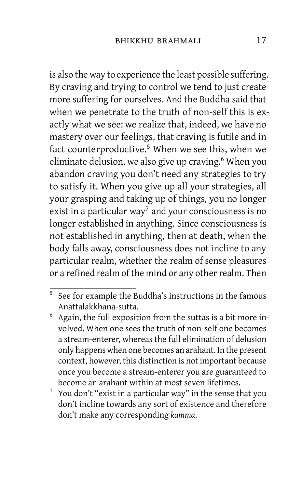is also the way to experience the least possible suffering. By craving and trying to control we tend to just create more suffering for ourselves. And the Buddha said that when we penetrate to the truth of non-self this is exactly what we see: we realize that, indeed, we have no mastery over our feelings, that craving is futile and in fact counterproductive. [5](#page-26-0) When we see this, when we eliminate delusion, we also give up craving. [6](#page-26-0) When you abandon craving you don't need any strategies to try to satisfy it. When you give up all your strategies, all your grasping and taking up of things, you no longer exist in a particular way<sup>[7](#page-26-0)</sup> and your consciousness is no longer established in anything. Since consciousness is not established in anything, then at death, when the body falls away, consciousness does not incline to any particular realm, whether the realm of sense pleasures or a refined realm of the mind or any other realm. Then

<sup>&</sup>lt;sup>5</sup> See for example the Buddha's instructions in the famous Anattalakkhana-sutta.

 $6$  Again, the full exposition from the suttas is a bit more involved. When one sees the truth of non-self one becomes a stream-enterer, whereas the full elimination of delusion only happens when one becomes an arahant. In the present context, however, this distinction is not important because once you become a stream-enterer you are guaranteed to become an arahant within at most seven lifetimes.

 $\frac{7}{1}$  You don't "exist in a particular way" in the sense that you don't incline towards any sort of existence and therefore don't make any corresponding *kamma*.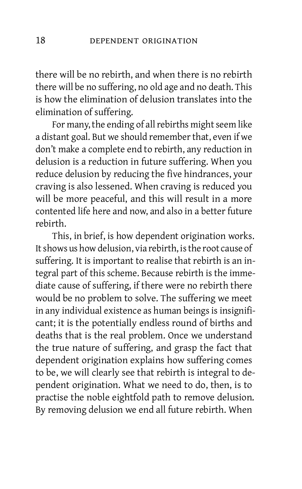there will be no rebirth, and when there is no rebirth there will be no suffering, no old age and no death. This is how the elimination of delusion translates into the elimination of suffering.

For many, the ending of all rebirths might seem like a distant goal. But we should remember that, even if we don't make a complete end to rebirth, any reduction in delusion is a reduction in future suffering. When you reduce delusion by reducing the five hindrances, your craving is also lessened. When craving is reduced you will be more peaceful, and this will result in a more contented life here and now, and also in a better future rebirth.

This, in brief, is how dependent origination works. It shows us how delusion, via rebirth, is the root cause of suffering. It is important to realise that rebirth is an integral part of this scheme. Because rebirth is the immediate cause of suffering, if there were no rebirth there would be no problem to solve. The suffering we meet in any individual existence as human beings is insignificant; it is the potentially endless round of births and deaths that is the real problem. Once we understand the true nature of suffering, and grasp the fact that dependent origination explains how suffering comes to be, we will clearly see that rebirth is integral to dependent origination. What we need to do, then, is to practise the noble eightfold path to remove delusion. By removing delusion we end all future rebirth. When